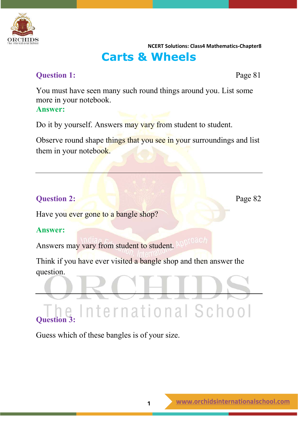

# **Carts & Wheels**

# **Question 1:** Page 81

You must have seen many such round things around you. List some more in your notebook. **Answer:**

Do it by yourself. Answers may vary from student to student.

Observe round shape things that you see in your surroundings and list them in your notebook.

# **Question 2:** Page 82

Have you ever gone to a bangle shop?

## **Answer:**

Answers may vary from student to student. APPT0ac

Think if you have ever visited a bangle shop and then answer the question.

nternational School

# **Question 3:**

Guess which of these bangles is of your size.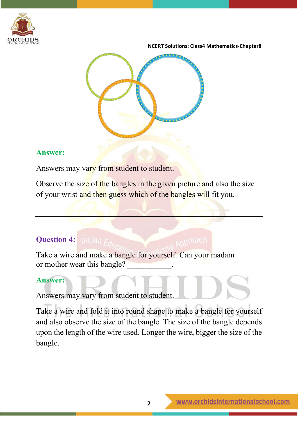



# **Answer:**

Answers may vary from student to student.

Observe the size of the bangles in the given picture and also the size of your wrist and then guess which of the bangles will fit you.

# **Question 4:** *Mulian F.*

Take a wire and make a bangle for yourself. Can your madam or mother wear this bangle?

# **Answer:**

Answers may vary from student to student.

Take a wire and fold it into round shape to make a bangle for yourself and also observe the size of the bangle. The size of the bangle depends upon the length of the wire used. Longer the wire, bigger the size of the bangle.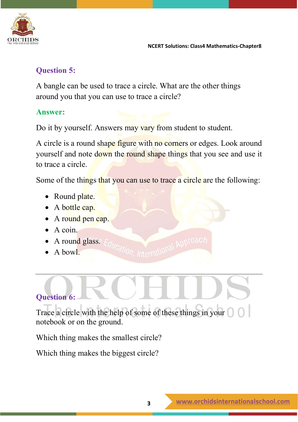

# **Question 5:**

A bangle can be used to trace a circle. What are the other things around you that you can use to trace a circle?

# **Answer:**

Do it by yourself. Answers may vary from student to student.

A circle is a round shape figure with no corners or edges. Look around yourself and note down the round shape things that you see and use it to trace a circle.

Some of the things that you can use to trace a circle are the following:

- Round plate.
- A bottle cap.
- A round pen cap.
- A coin.
- A round glass.
- A bow<sup>1</sup>.

# **Question 6:**

Trace a circle with the help of some of these things in your notebook or on the ground.

Which thing makes the smallest circle?

Which thing makes the biggest circle?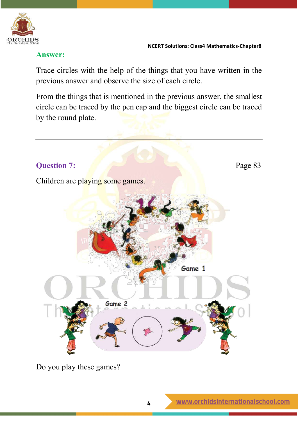

# **Answer:**

Trace circles with the help of the things that you have written in the previous answer and observe the size of each circle.

From the things that is mentioned in the previous answer, the smallest circle can be traced by the pen cap and the biggest circle can be traced by the round plate.



Do you play these games?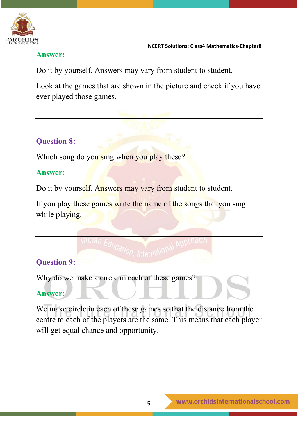

# **Answer:**

Do it by yourself. Answers may vary from student to student.

Look at the games that are shown in the picture and check if you have ever played those games.

# **Question 8:**

Which song do you sing when you play these?

# **Answer:**

Do it by yourself. Answers may vary from student to student.

If you play these games write the name of the songs that you sing while playing.

# **Question 9:**

Why do we make a circle in each of these games?

# **Answer:**

We make circle in each of these games so that the distance from the centre to each of the players are the same. This means that each player will get equal chance and opportunity.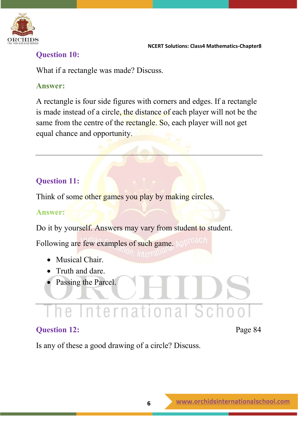

# **Question 10:**

What if a rectangle was made? Discuss.

# **Answer:**

A rectangle is four side figures with corners and edges. If a rectangle is made instead of a circle, the distance of each player will not be the same from the centre of the rectangle. So, each player will not get equal chance and opportunity.

# **Question 11:**

Think of some other games you play by making circles.

# **Answer:**

Do it by yourself. Answers may vary from student to student.

Following are few examples of such game.

- Musical Chair.
- Truth and dare.
- Passing the Parcel.

# he International Sc

# **Question 12:** Page 84

Is any of these a good drawing of a circle? Discuss.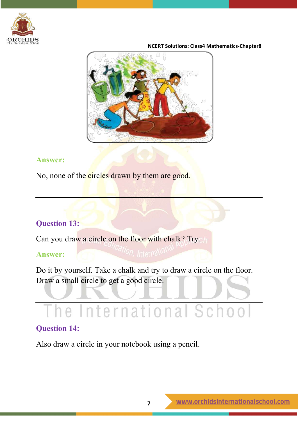



## **Answer:**

No, none of the circles drawn by them are good.

# **Question 13:**

Can you draw a circle on the floor with chalk? Try.

# **Answer:**

Do it by yourself. Take a chalk and try to draw a circle on the floor. Draw a small circle to get a good circle.

# e International Sc

# **Question 14:**

Also draw a circle in your notebook using a pencil.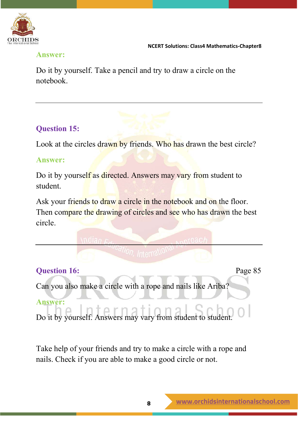

# **Answer:**

Do it by yourself. Take a pencil and try to draw a circle on the notebook.

# **Question 15:**

Look at the circles drawn by friends. Who has drawn the best circle?

# **Answer:**

Do it by yourself as directed. Answers may vary from student to student.

Ask your friends to draw a circle in the notebook and on the floor. Then compare the drawing of circles and see who has drawn the best circle.

# **Question 16:** Page 85

Can you also make a circle with a rope and nails like Ariba?

# **Answer:**

Do it by yourself. Answers may vary from student to student.

Take help of your friends and try to make a circle with a rope and nails. Check if you are able to make a good circle or not.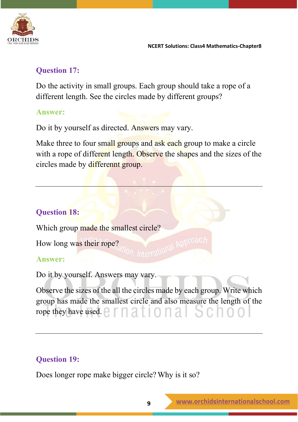

# **Question 17:**

Do the activity in small groups. Each group should take a rope of a different length. See the circles made by different groups?

# **Answer:**

Do it by yourself as directed. Answers may vary.

Make three to four small groups and ask each group to make a circle with a rope of different length. Observe the shapes and the sizes of the circles made by differennt group.

# **Question 18:**

Which group made the smallest circle?<br>How long was their rope?

How long was their rope?

# **Answer:**

Do it by yourself. Answers may vary.

Observe the sizes of the all the circles made by each group. Write which group has made the smallest circle and also measure the length of the rope they have used.  $\Box$   $\Box$   $\Box$   $\Box$   $\Box$   $\Box$   $\Box$ 

# **Question 19:**

Does longer rope make bigger circle?Why is it so?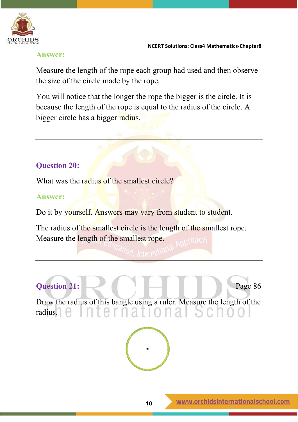

## **Answer:**

Measure the length of the rope each group had used and then observe the size of the circle made by the rope.

You will notice that the longer the rope the bigger is the circle. It is because the length of the rope is equal to the radius of the circle. A bigger circle has a bigger radius.

# **Question 20:**

What was the radius of the smallest circle?

# **Answer:**

Do it by yourself. Answers may vary from student to student.

The radius of the smallest circle is the length of the smallest rope. Measure the length of the smallest rope.

# **Question 21:** Page 86

Draw the radius of this bangle using a ruler. Measure the length of the radius.

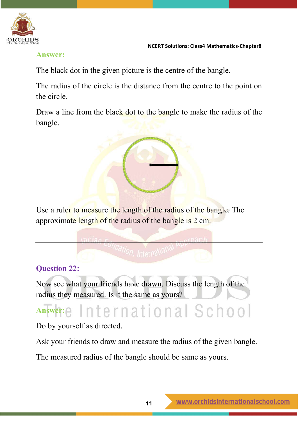

## **Answer:**

The black dot in the given picture is the centre of the bangle.

The radius of the circle is the distance from the centre to the point on the circle.

Draw a line from the black dot to the bangle to make the radius of the bangle.



Use a ruler to measure the length of the radius of the bangle. The approximate length of the radius of the bangle is 2 cm.

# **Question 22:**

Now see what your friends have drawn. Discuss the length of the radius they measured. Is it the same as yours?

# Answer: e International School

Do by yourself as directed.

Ask your friends to draw and measure the radius of the given bangle.

The measured radius of the bangle should be same as yours.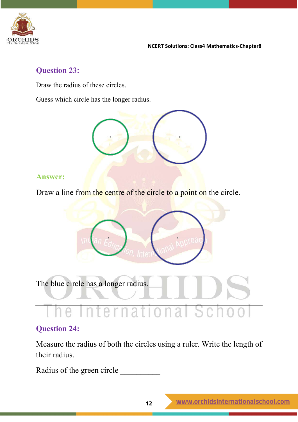

# **Question 23:**

Draw the radius of these circles.

Guess which circle has the longer radius.



## **Answer:**

Draw a line from the centre of the circle to a point on the circle.



The blue circle has a longer radius.

#### Ťе  $\cap$   $\Gamma$ a e a Ť  $\mathbb I$

# **Question 24:**

Measure the radius of both the circles using a ruler. Write the length of their radius.

Radius of the green circle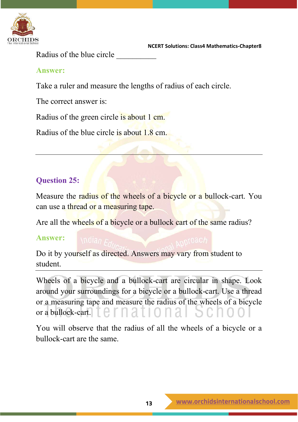

Radius of the blue circle \_\_\_\_\_\_\_\_\_\_

# **Answer:**

Take a ruler and measure the lengths of radius of each circle.

The correct answer is:

Radius of the green circle is about 1 cm.

Radius of the blue circle is about 1.8 cm.

# **Question 25:**

Measure the radius of the wheels of a bicycle or a bullock-cart. You can use a thread or a measuring tape.

Are all the wheels of a bicycle or a bullock cart of the same radius?

## **Answer:**

Do it by yourself as directed. Answers may vary from student to student.

Wheels of a bicycle and a bullock-cart are circular in shape. Look around your surroundings for a bicycle or a bullock-cart. Use a thread or a measuring tape and measure the radius of the wheels of a bicycle or a bullock-cart.

You will observe that the radius of all the wheels of a bicycle or a bullock-cart are the same.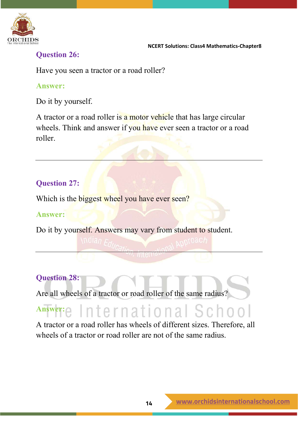

# **Question 26:**

Have you seen a tractor or a road roller?

# **Answer:**

Do it by yourself.

A tractor or a road roller is a motor vehicle that has large circular wheels. Think and answer if you have ever seen a tractor or a road roller.

# **Question 27:**

Which is the biggest wheel you have ever seen?

# **Answer:**

Do it by yourself. Answers may vary from student to student.

# **Question 28:**

Are all wheels of a tractor or road roller of the same radius?

# Answer: **c** International School

A tractor or a road roller has wheels of different sizes. Therefore, all wheels of a tractor or road roller are not of the same radius.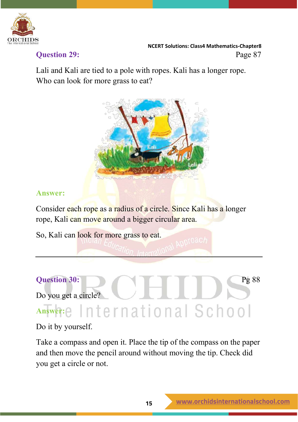

 **NCERT Solutions: Class4 Mathematics-Chapter8 Ouestion 29:** Page 87

Lali and Kali are tied to a pole with ropes. Kali has a longer rope. Who can look for more grass to eat?



# **Answer:**

Consider each rope as a radius of a circle. Since Kali has a longer rope, Kali can move around a bigger circular area.

So, Kali can look for more grass to eat.

# **Question 30:** Pg 88 Do you get a circle? **Answer:**

Do it by yourself.

Take a compass and open it. Place the tip of the compass on the paper and then move the pencil around without moving the tip. Check did you get a circle or not.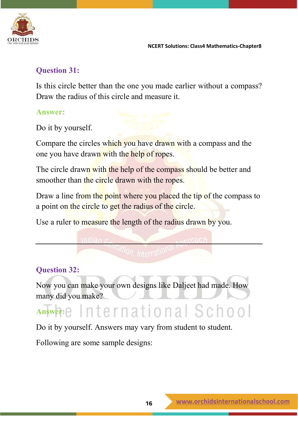

# **Question 31:**

Is this circle better than the one you made earlier without a compass? Draw the radius of this circle and measure it.

# **Answer:**

Do it by yourself.

Compare the circles which you have drawn with a compass and the one you have drawn with the help of ropes.

The circle drawn with the help of the compass should be better and smoother than the circle drawn with the ropes.

Draw a line from the point where you placed the tip of the compass to a point on the circle to get the radius of the circle.

Use a ruler to measure the length of the radius drawn by you.

# **Question 32:**

Now you can make your own designs like Daljeet had made. How many did you make?

# Answer: elnternational School

Do it by yourself. Answers may vary from student to student.

Following are some sample designs: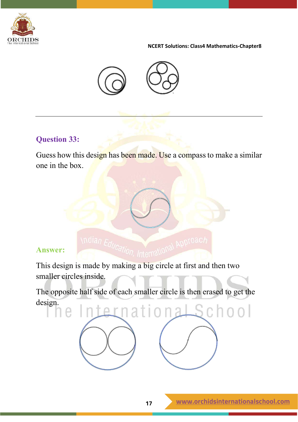



# **Question 33:**

Guess how this design has been made. Use a compass to make a similar one in the box.

# **Answer:**

e

Answer:  $\frac{\text{Midian } E_{\text{Al}}}{\text{Mernal} \cdot \text{Mational} \cdot \text{Mational} \cdot \text{Mational} \cdot \text{Mational} \cdot \text{Mational} \cdot \text{Mational} \cdot \text{Mational} \cdot \text{Mational} \cdot \text{Mational} \cdot \text{Mational} \cdot \text{Mational} \cdot \text{Mational} \cdot \text{Mational} \cdot \text{Mational} \cdot \text{Mational} \cdot \text{Mational} \cdot \text{Mational} \cdot \text{Mational} \cdot \text{Mational} \cdot \text{Mational} \cdot \text{Mational} \cdot \text{Mational} \cdot \text{Mational} \cdot \text{M$ smaller circles inside.

The opposite half side of each smaller circle is then erased to get the design.nternational School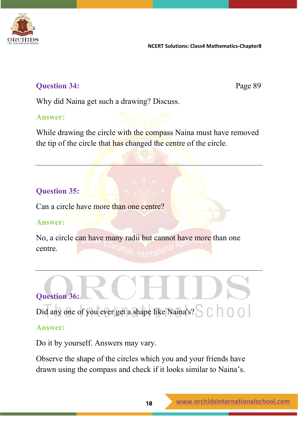

# **Question 34:** Page 89

Why did Naina get such a drawing? Discuss.

# **Answer:**

While drawing the circle with the compass Naina must have removed the tip of the circle that has changed the centre of the circle.

# **Question 35:**

Can a circle have more than one centre?

# **Answer:**

No, a circle can have many radii but cannot have more than one centre.

# **Question 36:**

Did any one of you ever get a shape like Naina's?

# **Answer:**

Do it by yourself. Answers may vary.

Observe the shape of the circles which you and your friends have drawn using the compass and check if it looks similar to Naina's.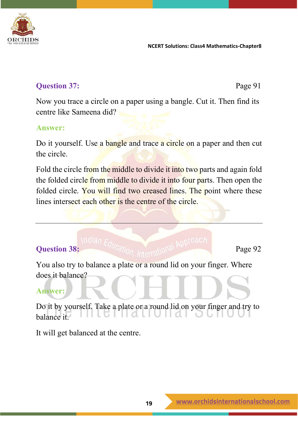

# **Question 37:** Page 91

Now you trace a circle on a paper using a bangle. Cut it. Then find its centre like Sameena did?

# **Answer:**

Do it yourself. Use a bangle and trace a circle on a paper and then cut the circle.

Fold the circle from the middle to divide it into two parts and again fold the folded circle from middle to divide it into four parts. Then open the folded circle. You will find two creased lines. The point where these lines intersect each other is the centre of the circle.

# **Question 38:** Page 92

You also try to balance a plate or a round lid on your finger. Where does it balance?

# **Answer:**

Do it by yourself. Take a plate or a round lid on your finger and try to balance it.

It will get balanced at the centre.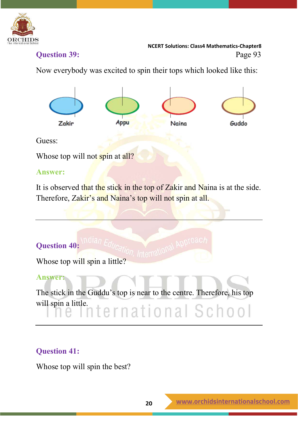

 **NCERT Solutions: Class4 Mathematics-Chapter8 Question 39:** Page 93

Now everybody was excited to spin their tops which looked like this:



Guess:

Whose top will not spin at all?

# **Answer:**

It is observed that the stick in the top of Zakir and Naina is at the side. Therefore, Zakir's and Naina's top will not spin at all.

# **Question 40:**

Whose top will spin a little?

# **Answer:**

The stick in the Guddu's top is near to the centre. Therefore, his top will spin a little. ternational School

# **Question 41:**

Whose top will spin the best?